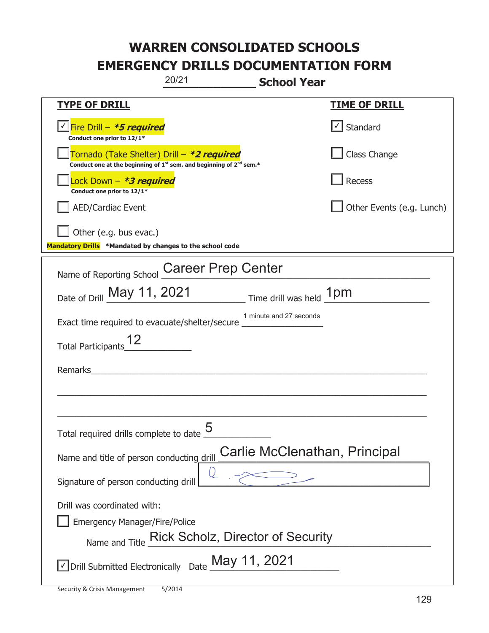|                                                                                    | 20/21<br><b>School Year</b>                                                       |                           |
|------------------------------------------------------------------------------------|-----------------------------------------------------------------------------------|---------------------------|
| <u>TYPE OF DRILL</u>                                                               |                                                                                   | <b>TIME OF DRILL</b>      |
| <u>√ Fire Drill – *5 required</u><br>Conduct one prior to 12/1*                    |                                                                                   | Standard                  |
| Tornado (Take Shelter) Drill – *2 required                                         | Conduct one at the beginning of $1^{st}$ sem. and beginning of $2^{nd}$ sem.*     | Class Change              |
| Lock Down - *3 required<br>Conduct one prior to 12/1*                              |                                                                                   | Recess                    |
| <b>AED/Cardiac Event</b>                                                           |                                                                                   | Other Events (e.g. Lunch) |
| Other (e.g. bus evac.)<br>Mandatory Drills *Mandated by changes to the school code |                                                                                   |                           |
| Name of Reporting School                                                           | <b>Career Prep Center</b>                                                         |                           |
|                                                                                    | Date of Drill May 11, 2021 Time drill was held 1pm                                |                           |
| Exact time required to evacuate/shelter/secure                                     | 1 minute and 27 seconds                                                           |                           |
| <b>Total Participants</b>                                                          |                                                                                   |                           |
| Remarks                                                                            |                                                                                   |                           |
|                                                                                    |                                                                                   |                           |
| Total required drills complete to date                                             | 5                                                                                 |                           |
| Name and title of person conducting drill                                          | Carlie McClenathan, Principal                                                     |                           |
| Signature of person conducting drill                                               |                                                                                   |                           |
| Drill was coordinated with:<br><b>Emergency Manager/Fire/Police</b>                | Name and Title Rick Scholz, Director of Security                                  |                           |
|                                                                                    | $\sqrt{\ }$ Drill Submitted Electronically Date $\underline{\text{May 11, 2021}}$ |                           |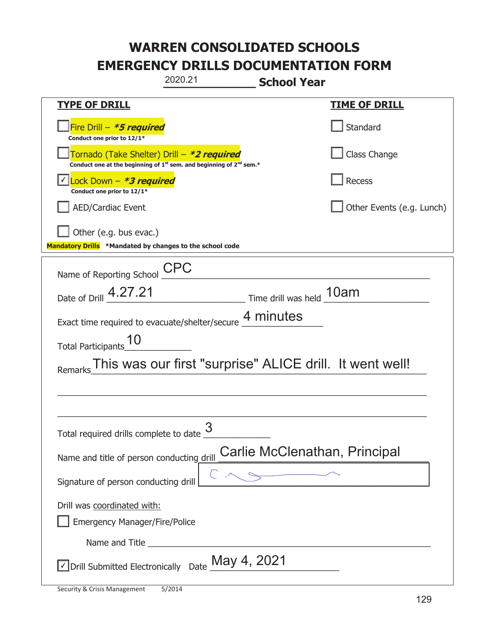|                                                                                                                                           | 2020.21                                                  | <b>School Year</b>            |                           |
|-------------------------------------------------------------------------------------------------------------------------------------------|----------------------------------------------------------|-------------------------------|---------------------------|
| <b>TYPE OF DRILL</b>                                                                                                                      |                                                          |                               | <u>TIME OF DRILL</u>      |
| Fire Drill - *5 required<br>Conduct one prior to 12/1*                                                                                    |                                                          |                               | Standard                  |
| Tornado (Take Shelter) Drill – *2 required<br>Conduct one at the beginning of 1 <sup>st</sup> sem. and beginning of 2 <sup>nd</sup> sem.* |                                                          |                               | Class Change              |
| Lock Down - *3 required<br>Conduct one prior to 12/1*                                                                                     |                                                          |                               | Recess                    |
| <b>AED/Cardiac Event</b>                                                                                                                  |                                                          |                               | Other Events (e.g. Lunch) |
| Other (e.g. bus evac.)<br>Mandatory Drills *Mandated by changes to the school code                                                        |                                                          |                               |                           |
| Name of Reporting School                                                                                                                  | CPC                                                      |                               |                           |
| Date of Drill 4.27.21                                                                                                                     |                                                          | Time drill was held 10am      |                           |
| Exact time required to evacuate/shelter/secure 4 minutes                                                                                  |                                                          |                               |                           |
| <b>Total Participants</b>                                                                                                                 |                                                          |                               |                           |
|                                                                                                                                           | This was our first "surprise" ALICE drill. It went well! |                               |                           |
|                                                                                                                                           |                                                          |                               |                           |
|                                                                                                                                           |                                                          |                               |                           |
| Total required drills complete to date U                                                                                                  | 3                                                        |                               |                           |
| Name and title of person conducting drill                                                                                                 |                                                          | Carlie McClenathan, Principal |                           |
| Signature of person conducting drill                                                                                                      |                                                          |                               |                           |
| Drill was coordinated with:<br><b>Emergency Manager/Fire/Police</b>                                                                       |                                                          |                               |                           |
|                                                                                                                                           |                                                          |                               |                           |
| $\vee$ Drill Submitted Electronically Date $\underline{\mathsf{May}}$ 4, 2021                                                             |                                                          |                               |                           |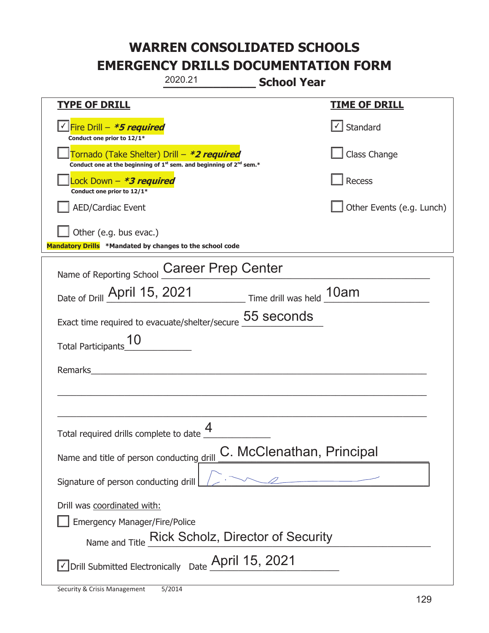|                                                                                    | 2020.21                                                                                     | <b>School Year</b>        |                           |
|------------------------------------------------------------------------------------|---------------------------------------------------------------------------------------------|---------------------------|---------------------------|
| <b>TYPE OF DRILL</b>                                                               |                                                                                             |                           | <u>TIME OF DRILL</u>      |
| <u>√ Fire Drill – <b>*5 required</b></u><br>Conduct one prior to 12/1*             |                                                                                             |                           | Standard                  |
| Tornado (Take Shelter) Drill – *2 required                                         | Conduct one at the beginning of 1 <sup>st</sup> sem. and beginning of 2 <sup>nd</sup> sem.* |                           | Class Change              |
| Lock Down - *3 required<br>Conduct one prior to 12/1*                              |                                                                                             |                           | Recess                    |
| <b>AED/Cardiac Event</b>                                                           |                                                                                             |                           | Other Events (e.g. Lunch) |
| Other (e.g. bus evac.)<br>Mandatory Drills *Mandated by changes to the school code |                                                                                             |                           |                           |
| Name of Reporting School                                                           | <b>Career Prep Center</b>                                                                   |                           |                           |
| Date of Drill April 15, 2021                                                       |                                                                                             | Time drill was held 10am  |                           |
| Exact time required to evacuate/shelter/secure                                     |                                                                                             | 55 seconds                |                           |
| <b>Total Participants</b>                                                          |                                                                                             |                           |                           |
| Remarks                                                                            |                                                                                             |                           |                           |
|                                                                                    |                                                                                             |                           |                           |
| Total required drills complete to date                                             | 4                                                                                           |                           |                           |
| Name and title of person conducting drill                                          |                                                                                             | C. McClenathan, Principal |                           |
| Signature of person conducting drill                                               |                                                                                             |                           |                           |
| Drill was coordinated with:<br><b>Emergency Manager/Fire/Police</b>                | Name and Title Rick Scholz, Director of Security                                            |                           |                           |
| $\vee$ Drill Submitted Electronically Date $\triangle$ Pril 15, 2021               |                                                                                             |                           |                           |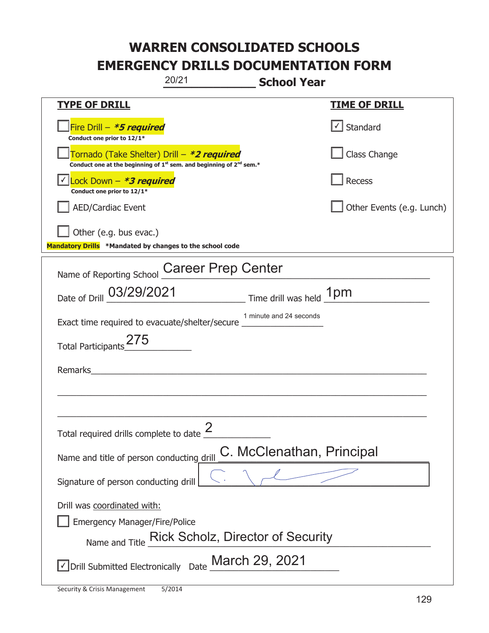|                                                                                     | 20/21                                                                                       | <b>School Year</b>        |                           |
|-------------------------------------------------------------------------------------|---------------------------------------------------------------------------------------------|---------------------------|---------------------------|
| <b>TYPE OF DRILL</b>                                                                |                                                                                             |                           | <b>TIME OF DRILL</b>      |
| Fire Drill - *5 required<br>Conduct one prior to 12/1*                              |                                                                                             |                           | Standard                  |
| Tornado (Take Shelter) Drill – *2 required                                          | Conduct one at the beginning of 1 <sup>st</sup> sem. and beginning of 2 <sup>nd</sup> sem.* |                           | Class Change              |
| Lock Down - *3 required<br>Conduct one prior to 12/1*                               |                                                                                             |                           | Recess                    |
| <b>AED/Cardiac Event</b>                                                            |                                                                                             |                           | Other Events (e.g. Lunch) |
| Other (e.g. bus evac.)<br>Mandatory Drills *Mandated by changes to the school code  |                                                                                             |                           |                           |
| Name of Reporting School                                                            | <b>Career Prep Center</b>                                                                   |                           |                           |
| Date of Drill 03/29/2021                                                            |                                                                                             | Time drill was held 1pm   |                           |
| Exact time required to evacuate/shelter/secure                                      |                                                                                             | 1 minute and 24 seconds   |                           |
| <b>Total Participants</b>                                                           |                                                                                             |                           |                           |
| Remarks                                                                             |                                                                                             |                           |                           |
|                                                                                     |                                                                                             |                           |                           |
| Total required drills complete to date $\frac{2}{3}$                                |                                                                                             |                           |                           |
| Name and title of person conducting drill                                           |                                                                                             | C. McClenathan, Principal |                           |
| Signature of person conducting drill                                                |                                                                                             |                           |                           |
| Drill was coordinated with:<br><b>Emergency Manager/Fire/Police</b>                 | Name and Title Rick Scholz, Director of Security                                            |                           |                           |
| $\sqrt{\ }$ Drill Submitted Electronically Date $\underline{\text{March 29, 2021}}$ |                                                                                             |                           |                           |

t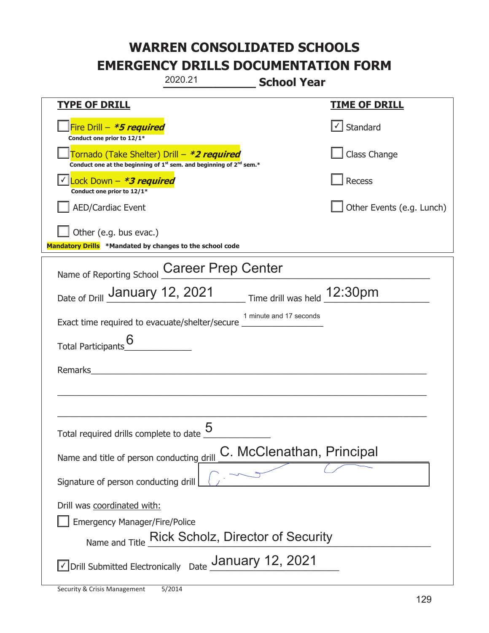|                                                                                    | 2020.21                                                                                     | <b>School Year</b>          |
|------------------------------------------------------------------------------------|---------------------------------------------------------------------------------------------|-----------------------------|
| <b>TYPE OF DRILL</b>                                                               |                                                                                             | <u>TIME OF DRILL</u>        |
| Fire Drill - *5 required<br>Conduct one prior to 12/1*                             |                                                                                             | Standard                    |
| Tornado (Take Shelter) Drill – *2 required                                         | Conduct one at the beginning of 1 <sup>st</sup> sem. and beginning of 2 <sup>nd</sup> sem.* | Class Change                |
| $\vert$ Lock Down - *3 required<br>Conduct one prior to 12/1*                      |                                                                                             | Recess                      |
| <b>AED/Cardiac Event</b>                                                           |                                                                                             | Other Events (e.g. Lunch)   |
| Other (e.g. bus evac.)<br>Mandatory Drills *Mandated by changes to the school code |                                                                                             |                             |
| Name of Reporting School                                                           | <b>Career Prep Center</b>                                                                   |                             |
| Date of Drill January 12, 2021                                                     |                                                                                             | Time drill was held 12:30pm |
| Exact time required to evacuate/shelter/secure                                     | 1 minute and 17 seconds                                                                     |                             |
| <b>Total Participants</b>                                                          |                                                                                             |                             |
| Remarks                                                                            |                                                                                             |                             |
|                                                                                    |                                                                                             |                             |
| Total required drills complete to date $\overline{\phantom{a}}$                    | 5                                                                                           |                             |
| Name and title of person conducting drill                                          |                                                                                             | C. McClenathan, Principal   |
| Signature of person conducting drill                                               |                                                                                             |                             |
| Drill was coordinated with:                                                        |                                                                                             |                             |
| <b>Emergency Manager/Fire/Police</b>                                               |                                                                                             |                             |
| Name and Title                                                                     | <b>Rick Scholz, Director of Security</b>                                                    |                             |
|                                                                                    | $\vee$ Drill Submitted Electronically Date $\_$ Anuary 12, 2021                             |                             |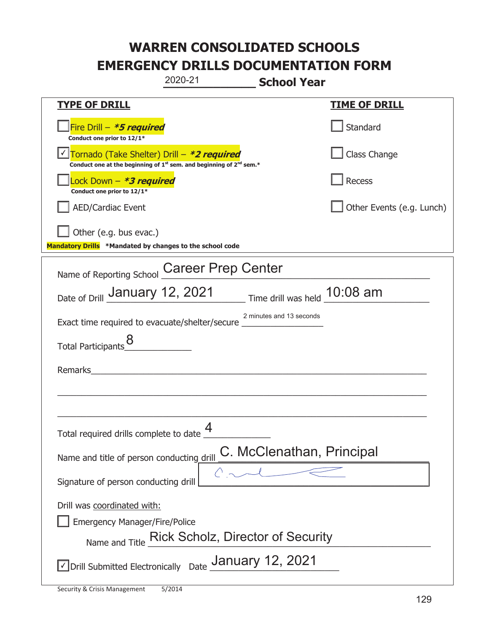|                                                                                    | 2020-21                                                                                     | <b>School Year</b>           |
|------------------------------------------------------------------------------------|---------------------------------------------------------------------------------------------|------------------------------|
| <b>TYPE OF DRILL</b>                                                               |                                                                                             | <b>TIME OF DRILL</b>         |
| Fire Drill - *5 required<br>Conduct one prior to 12/1*                             |                                                                                             | Standard                     |
| Tornado (Take Shelter) Drill – *2 required                                         | Conduct one at the beginning of 1 <sup>st</sup> sem. and beginning of 2 <sup>nd</sup> sem.* | Class Change                 |
| Lock Down - *3 required<br>Conduct one prior to 12/1*                              |                                                                                             | Recess                       |
| <b>AED/Cardiac Event</b>                                                           |                                                                                             | Other Events (e.g. Lunch)    |
| Other (e.g. bus evac.)<br>Mandatory Drills *Mandated by changes to the school code |                                                                                             |                              |
| Name of Reporting School                                                           | <b>Career Prep Center</b>                                                                   |                              |
| <sub>Date of Drill</sub> January 12, 2021                                          |                                                                                             | Time drill was held 10:08 am |
| Exact time required to evacuate/shelter/secure _                                   |                                                                                             | 2 minutes and 13 seconds     |
| <b>Total Participants</b>                                                          |                                                                                             |                              |
| Remarks                                                                            |                                                                                             |                              |
|                                                                                    |                                                                                             |                              |
| Total required drills complete to date $\Box$                                      | 4                                                                                           |                              |
| Name and title of person conducting drill                                          |                                                                                             | C. McClenathan, Principal    |
| Signature of person conducting drill                                               |                                                                                             |                              |
| Drill was coordinated with:                                                        |                                                                                             |                              |
| <b>Emergency Manager/Fire/Police</b>                                               | Name and Title Rick Scholz, Director of Security                                            |                              |
|                                                                                    |                                                                                             |                              |
|                                                                                    | √Drill Submitted Electronically Date January 12, 2021                                       |                              |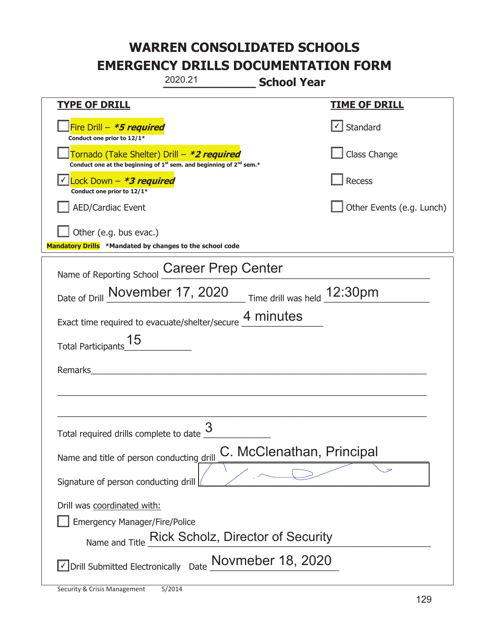|                                                                                    | 2020.21                                                                                     | <b>School Year</b>          |
|------------------------------------------------------------------------------------|---------------------------------------------------------------------------------------------|-----------------------------|
| <b>TYPE OF DRILL</b>                                                               |                                                                                             | <u>TIME OF DRILL</u>        |
| Fire Drill - *5 required<br>Conduct one prior to 12/1*                             |                                                                                             | $\lfloor$ Standard          |
| Tornado (Take Shelter) Drill – *2 required                                         | Conduct one at the beginning of 1 <sup>st</sup> sem. and beginning of 2 <sup>nd</sup> sem.* | Class Change                |
| Lock Down - <b>*3 required</b><br>Conduct one prior to 12/1*                       |                                                                                             | Recess                      |
| <b>AED/Cardiac Event</b>                                                           |                                                                                             | Other Events (e.g. Lunch)   |
| Other (e.g. bus evac.)<br>Mandatory Drills *Mandated by changes to the school code |                                                                                             |                             |
| Name of Reporting School                                                           | <b>Career Prep Center</b>                                                                   |                             |
| Date of Drill November 17, 2020                                                    |                                                                                             | Time drill was held 12:30pm |
|                                                                                    | Exact time required to evacuate/shelter/secure 4 minutes                                    |                             |
| <b>Total Participants</b>                                                          |                                                                                             |                             |
| Remarks                                                                            |                                                                                             |                             |
|                                                                                    |                                                                                             |                             |
| Total required drills complete to date <u>U</u>                                    | 3                                                                                           |                             |
| Name and title of person conducting drill                                          |                                                                                             | C. McClenathan, Principal   |
| Signature of person conducting drill                                               |                                                                                             |                             |
| Drill was coordinated with:                                                        |                                                                                             |                             |
| <b>Emergency Manager/Fire/Police</b>                                               | <b>Rick Scholz, Director of Security</b>                                                    |                             |
| Name and Title                                                                     |                                                                                             |                             |
| √ Drill Submitted Electronically                                                   | Date Novmeber 18, 2020                                                                      |                             |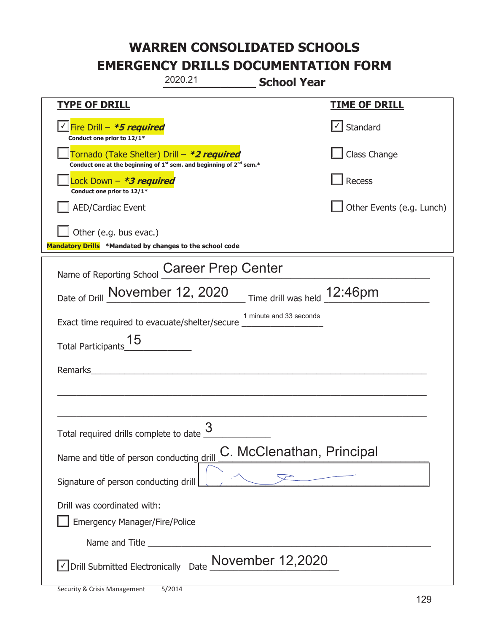|                                                                                                                       | 2020.21                   | <b>School Year</b>           |                                   |
|-----------------------------------------------------------------------------------------------------------------------|---------------------------|------------------------------|-----------------------------------|
| <b>TYPE OF DRILL</b>                                                                                                  |                           |                              | <b>TIME OF DRILL</b>              |
| <u> √ Fire Drill – <i>*5 required</i></u><br>Conduct one prior to 12/1*                                               |                           |                              | $\lfloor \angle \rfloor$ Standard |
| Tornado (Take Shelter) Drill – *2 required<br>Conduct one at the beginning of $1st$ sem. and beginning of $2nd$ sem.* |                           |                              | Class Change                      |
| Lock Down - <b>*3 required</b><br>Conduct one prior to 12/1*                                                          |                           |                              | Recess                            |
| <b>AED/Cardiac Event</b>                                                                                              |                           |                              | Other Events (e.g. Lunch)         |
| Other (e.g. bus evac.)<br>Mandatory Drills *Mandated by changes to the school code                                    |                           |                              |                                   |
| Name of Reporting School                                                                                              | <b>Career Prep Center</b> |                              |                                   |
| Date of Drill November 12, 2020                                                                                       |                           | Time drill was held _12:46pm |                                   |
| Exact time required to evacuate/shelter/secure _                                                                      |                           | 1 minute and 33 seconds      |                                   |
| <b>Total Participants</b>                                                                                             |                           |                              |                                   |
| Remarks                                                                                                               |                           |                              |                                   |
|                                                                                                                       |                           |                              |                                   |
|                                                                                                                       |                           |                              |                                   |
| Total required drills complete to date <u>U</u>                                                                       | 3                         |                              |                                   |
| Name and title of person conducting drill                                                                             |                           | C. McClenathan, Principal    |                                   |
| Signature of person conducting drill                                                                                  |                           |                              |                                   |
| Drill was coordinated with:                                                                                           |                           |                              |                                   |
| <b>Emergency Manager/Fire/Police</b>                                                                                  |                           |                              |                                   |
|                                                                                                                       |                           |                              |                                   |
| ODrill Submitted Electronically Date Movember 12,2020                                                                 |                           |                              |                                   |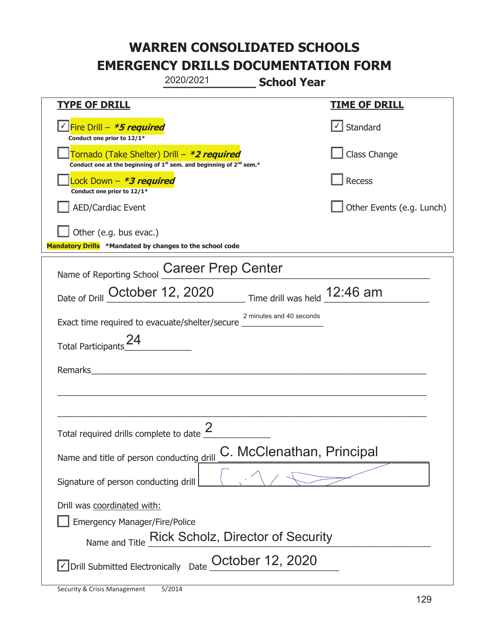|                                                                                    | 2020/2021<br><b>School Year</b>                                                             |                           |
|------------------------------------------------------------------------------------|---------------------------------------------------------------------------------------------|---------------------------|
| <u>TYPE OF DRILL</u>                                                               |                                                                                             | <u>TIME OF DRILL</u>      |
| Fire Drill - <b>*5 required</b><br>Conduct one prior to 12/1*                      |                                                                                             | Standard                  |
| Tornado (Take Shelter) Drill – *2 required                                         | Conduct one at the beginning of 1 <sup>st</sup> sem. and beginning of 2 <sup>nd</sup> sem.* | Class Change              |
| Lock Down - *3 required<br>Conduct one prior to 12/1*                              |                                                                                             | Recess                    |
| <b>AED/Cardiac Event</b>                                                           |                                                                                             | Other Events (e.g. Lunch) |
| Other (e.g. bus evac.)<br>Mandatory Drills *Mandated by changes to the school code |                                                                                             |                           |
| Name of Reporting School                                                           | <b>Career Prep Center</b>                                                                   |                           |
| Date of Drill October 12, 2020                                                     | Time drill was held 12:46 am                                                                |                           |
| Exact time required to evacuate/shelter/secure                                     | 2 minutes and 40 seconds                                                                    |                           |
| <b>Total Participants</b>                                                          |                                                                                             |                           |
| Remarks                                                                            |                                                                                             |                           |
|                                                                                    |                                                                                             |                           |
| Total required drills complete to date $\stackrel{\centerdot}{\phantom{}_{\sim}}$  |                                                                                             |                           |
| Name and title of person conducting drill                                          | C. McClenathan, Principal                                                                   |                           |
| Signature of person conducting drill                                               |                                                                                             |                           |
| Drill was coordinated with:                                                        |                                                                                             |                           |
| <b>Emergency Manager/Fire/Police</b>                                               |                                                                                             |                           |
| Name and Title                                                                     | <b>Rick Scholz, Director of Security</b>                                                    |                           |
|                                                                                    | Drill Submitted Electronically Date $\frac{\text{October 12, 2020}}{}$                      |                           |